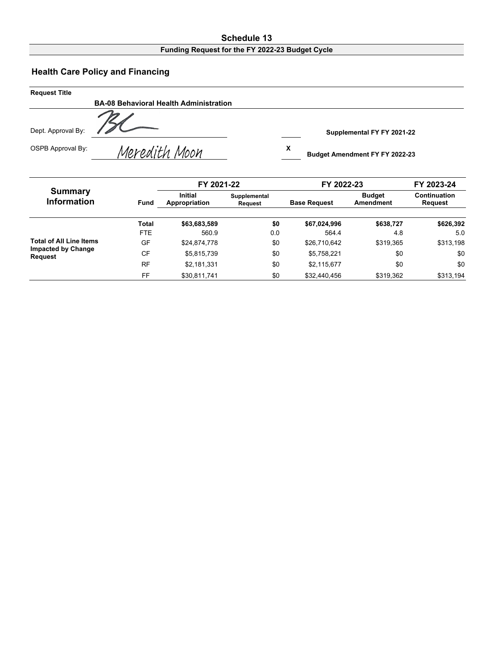# **Schedule 13**

### **Funding Request for the FY 2022-23 Budget Cycle**

#### **Health Care Policy and Financing**

| <b>Request Title</b> |                                               |                                            |
|----------------------|-----------------------------------------------|--------------------------------------------|
|                      | <b>BA-08 Behavioral Health Administration</b> |                                            |
| Dept. Approval By:   |                                               | Supplemental FY FY 2021-22                 |
| OSPB Approval By:    | Meredith Moon                                 | х<br><b>Budget Amendment FY FY 2022-23</b> |

|                                             |             | FY 2021-22                      |                         |                     | FY 2022-23                 |                         |  |  |
|---------------------------------------------|-------------|---------------------------------|-------------------------|---------------------|----------------------------|-------------------------|--|--|
| Summary<br><b>Information</b>               | <b>Fund</b> | <b>Initial</b><br>Appropriation | Supplemental<br>Reauest | <b>Base Request</b> | <b>Budget</b><br>Amendment | Continuation<br>Request |  |  |
|                                             | Total       | \$63,683,589                    | \$0                     | \$67,024,996        | \$638,727                  | \$626,392               |  |  |
|                                             | <b>FTE</b>  | 560.9                           | 0.0                     | 564.4               | 4.8                        | 5.0                     |  |  |
| <b>Total of All Line Items</b>              | GF          | \$24,874,778                    | \$0                     | \$26,710,642        | \$319.365                  | \$313,198               |  |  |
| <b>Impacted by Change</b><br><b>Request</b> | <b>CF</b>   | \$5,815,739                     | \$0                     | \$5,758,221         | \$0                        | \$0                     |  |  |
|                                             | <b>RF</b>   | \$2,181,331                     | \$0                     | \$2,115,677         | \$0                        | \$0                     |  |  |
|                                             | FF          | \$30,811,741                    | \$0                     | \$32,440,456        | \$319,362                  | \$313,194               |  |  |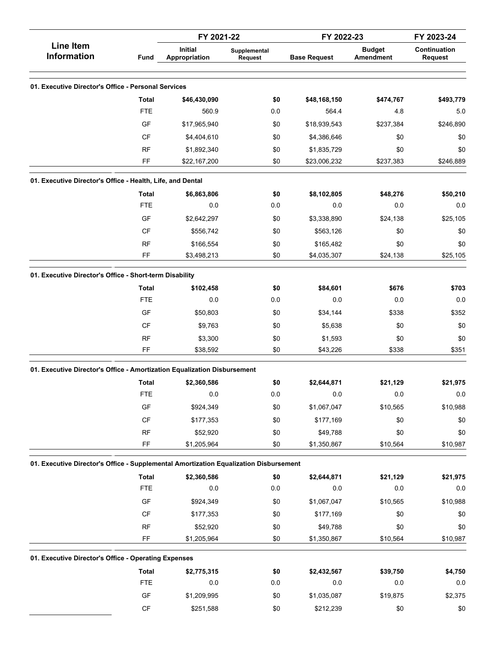|                                                                                       |                        | FY 2021-22                      |                         | FY 2022-23          |                                   | FY 2023-24                     |  |
|---------------------------------------------------------------------------------------|------------------------|---------------------------------|-------------------------|---------------------|-----------------------------------|--------------------------------|--|
| <b>Line Item</b><br><b>Information</b>                                                | Fund                   | <b>Initial</b><br>Appropriation | Supplemental<br>Request | <b>Base Request</b> | <b>Budget</b><br><b>Amendment</b> | Continuation<br><b>Request</b> |  |
|                                                                                       |                        |                                 |                         |                     |                                   |                                |  |
| 01. Executive Director's Office - Personal Services                                   |                        |                                 |                         |                     |                                   |                                |  |
|                                                                                       | <b>Total</b>           | \$46,430,090                    | \$0                     | \$48,168,150        | \$474,767                         | \$493,779                      |  |
|                                                                                       | <b>FTE</b>             | 560.9                           | 0.0                     | 564.4               | 4.8                               | 5.0                            |  |
|                                                                                       | GF                     | \$17,965,940                    | \$0                     | \$18,939,543        | \$237,384                         | \$246,890                      |  |
|                                                                                       | <b>CF</b>              | \$4,404,610                     | \$0                     | \$4,386,646         | \$0                               | \$0                            |  |
|                                                                                       | <b>RF</b>              | \$1,892,340                     | \$0                     | \$1,835,729         | \$0                               | \$0                            |  |
|                                                                                       | FF                     | \$22,167,200                    | \$0                     | \$23,006,232        | \$237,383                         | \$246,889                      |  |
| 01. Executive Director's Office - Health, Life, and Dental                            |                        |                                 |                         |                     |                                   |                                |  |
|                                                                                       | Total                  | \$6,863,806                     | \$0                     | \$8,102,805         | \$48,276                          | \$50,210                       |  |
|                                                                                       | <b>FTE</b>             | 0.0                             | 0.0                     | 0.0                 | 0.0                               | 0.0                            |  |
|                                                                                       | GF                     | \$2,642,297                     | \$0                     | \$3,338,890         | \$24,138                          | \$25,105                       |  |
|                                                                                       | <b>CF</b>              | \$556,742                       | \$0                     | \$563,126           | \$0                               | \$0                            |  |
|                                                                                       | <b>RF</b>              | \$166,554                       | \$0                     | \$165,482           | \$0                               | \$0                            |  |
|                                                                                       | FF                     | \$3,498,213                     | \$0                     | \$4,035,307         | \$24,138                          | \$25,105                       |  |
| 01. Executive Director's Office - Short-term Disability                               |                        |                                 |                         |                     |                                   |                                |  |
|                                                                                       | <b>Total</b>           | \$102,458                       | \$0                     | \$84,601            | \$676                             | \$703                          |  |
|                                                                                       | <b>FTE</b>             | 0.0                             | 0.0                     | 0.0                 | 0.0                               | 0.0                            |  |
|                                                                                       | GF                     | \$50,803                        | \$0                     | \$34,144            | \$338                             | \$352                          |  |
|                                                                                       | <b>CF</b>              | \$9,763                         | \$0                     | \$5,638             | \$0                               | \$0                            |  |
|                                                                                       | <b>RF</b>              | \$3,300                         | \$0                     | \$1,593             | \$0                               | \$0                            |  |
|                                                                                       | FF                     | \$38,592                        | \$0                     | \$43,226            | \$338                             | \$351                          |  |
| 01. Executive Director's Office - Amortization Equalization Disbursement              |                        |                                 |                         |                     |                                   |                                |  |
|                                                                                       | <b>Total</b>           | \$2,360,586                     | \$0                     | \$2,644,871         | \$21,129                          | \$21,975                       |  |
|                                                                                       | <b>FTE</b>             | 0.0                             | 0.0                     | 0.0                 | 0.0                               | 0.0                            |  |
|                                                                                       | GF                     | \$924,349                       | \$0                     | \$1,067,047         | \$10,565                          | \$10,988                       |  |
|                                                                                       | $\mathsf{C}\mathsf{F}$ | \$177,353                       | \$0                     | \$177,169           | \$0                               | \$0                            |  |
|                                                                                       | RF                     |                                 |                         | \$49,788            |                                   |                                |  |
|                                                                                       | FF                     | \$52,920<br>\$1,205,964         | \$0<br>\$0              | \$1,350,867         | \$0<br>\$10,564                   | \$0<br>\$10,987                |  |
|                                                                                       |                        |                                 |                         |                     |                                   |                                |  |
| 01. Executive Director's Office - Supplemental Amortization Equalization Disbursement |                        |                                 |                         |                     |                                   |                                |  |
|                                                                                       | Total<br><b>FTE</b>    | \$2,360,586<br>0.0              | \$0                     | \$2,644,871<br>0.0  | \$21,129<br>0.0                   | \$21,975<br>$0.0\,$            |  |
|                                                                                       |                        |                                 | 0.0                     |                     |                                   |                                |  |
|                                                                                       | GF                     | \$924,349                       | \$0                     | \$1,067,047         | \$10,565                          | \$10,988                       |  |
|                                                                                       | CF                     | \$177,353                       | \$0                     | \$177,169           | \$0                               | \$0                            |  |
|                                                                                       | RF                     | \$52,920                        | \$0                     | \$49,788            | \$0                               | \$0                            |  |
|                                                                                       | FF                     | \$1,205,964                     | \$0                     | \$1,350,867         | \$10,564                          | \$10,987                       |  |
| 01. Executive Director's Office - Operating Expenses                                  |                        |                                 |                         |                     |                                   |                                |  |
|                                                                                       | <b>Total</b>           | \$2,775,315                     | \$0                     | \$2,432,567         | \$39,750                          | \$4,750                        |  |
|                                                                                       | <b>FTE</b>             | 0.0                             | 0.0                     | $0.0\,$             | 0.0                               | $0.0\,$                        |  |
|                                                                                       | GF                     | \$1,209,995                     | \$0                     | \$1,035,087         | \$19,875                          | \$2,375                        |  |
|                                                                                       | CF                     | \$251,588                       | \$0                     | \$212,239           | \$0                               | $\$0$                          |  |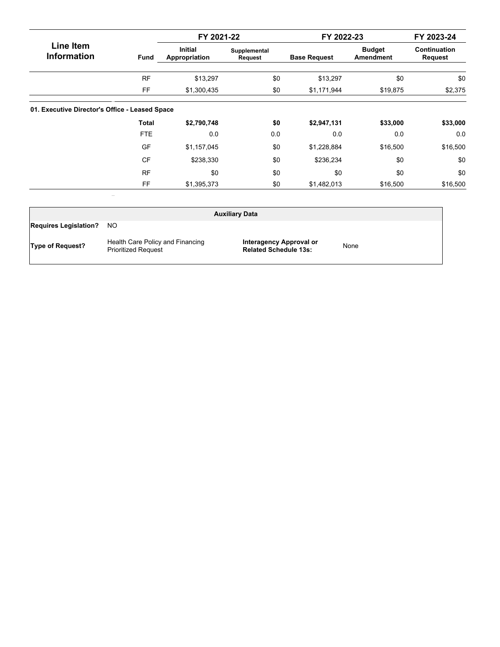|                                                |              | FY 2021-22                      |                                | FY 2022-23          |                                   | FY 2023-24                     |  |
|------------------------------------------------|--------------|---------------------------------|--------------------------------|---------------------|-----------------------------------|--------------------------------|--|
| Line Item<br><b>Information</b>                | Fund         | <b>Initial</b><br>Appropriation | Supplemental<br><b>Request</b> | <b>Base Request</b> | <b>Budget</b><br><b>Amendment</b> | <b>Continuation</b><br>Request |  |
|                                                | <b>RF</b>    | \$13,297                        | \$0                            | \$13,297            | \$0                               | \$0                            |  |
|                                                | FF           | \$1,300,435                     | \$0                            | \$1,171,944         | \$19,875                          | \$2,375                        |  |
| 01. Executive Director's Office - Leased Space |              |                                 |                                |                     |                                   |                                |  |
|                                                | <b>Total</b> | \$2,790,748                     | \$0                            | \$2,947,131         | \$33,000                          | \$33,000                       |  |
|                                                | <b>FTE</b>   | 0.0                             | 0.0                            | 0.0                 | 0.0                               | 0.0                            |  |
|                                                | GF           | \$1,157,045                     | \$0                            | \$1,228,884         | \$16,500                          | \$16,500                       |  |
|                                                | <b>CF</b>    | \$238,330                       | \$0                            | \$236,234           | \$0                               | \$0                            |  |
|                                                | <b>RF</b>    | \$0                             | \$0                            | \$0                 | \$0                               | \$0                            |  |
|                                                | FF           | \$1,395,373                     | \$0                            | \$1,482,013         | \$16,500                          | \$16,500                       |  |

| <b>Auxiliary Data</b>        |                                                                |                                                         |      |  |  |  |  |  |  |  |
|------------------------------|----------------------------------------------------------------|---------------------------------------------------------|------|--|--|--|--|--|--|--|
| <b>Requires Legislation?</b> | NO.                                                            |                                                         |      |  |  |  |  |  |  |  |
| <b>Type of Request?</b>      | Health Care Policy and Financing<br><b>Prioritized Request</b> | Interagency Approval or<br><b>Related Schedule 13s:</b> | None |  |  |  |  |  |  |  |

 $\mathcal{L}(\mathcal{L})$  and  $\mathcal{L}(\mathcal{L})$  . In the  $\mathcal{L}(\mathcal{L})$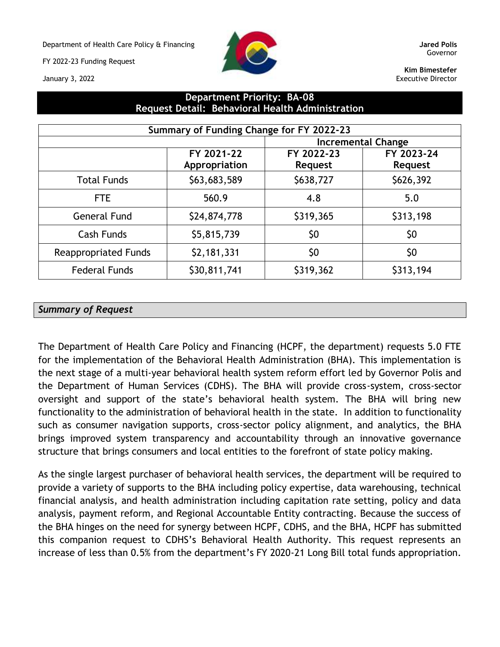Department of Health Care Policy & Financing **Jared Polis**

FY 2022-23 Funding Request





Governor

**Kim Bimestefer** Executive Director

## **Department Priority: BA-08 Request Detail: Behavioral Health Administration**

| Summary of Funding Change for FY 2022-23 |                             |                              |                              |  |  |  |  |  |  |
|------------------------------------------|-----------------------------|------------------------------|------------------------------|--|--|--|--|--|--|
|                                          |                             | Incremental Change           |                              |  |  |  |  |  |  |
|                                          | FY 2021-22<br>Appropriation | FY 2022-23<br><b>Request</b> | FY 2023-24<br><b>Request</b> |  |  |  |  |  |  |
| <b>Total Funds</b>                       | \$63,683,589                | \$638,727                    | \$626,392                    |  |  |  |  |  |  |
| FTE                                      | 560.9                       | 4.8                          | 5.0                          |  |  |  |  |  |  |
| <b>General Fund</b>                      | \$24,874,778                | \$319,365                    | \$313,198                    |  |  |  |  |  |  |
| <b>Cash Funds</b>                        | \$5,815,739                 | \$0                          | \$0                          |  |  |  |  |  |  |
| <b>Reappropriated Funds</b>              | \$2,181,331                 | \$0                          | \$0                          |  |  |  |  |  |  |
| <b>Federal Funds</b>                     | \$30,811,741                | \$319,362                    | \$313,194                    |  |  |  |  |  |  |

#### *Summary of Request*

The Department of Health Care Policy and Financing (HCPF, the department) requests 5.0 FTE for the implementation of the Behavioral Health Administration (BHA). This implementation is the next stage of a multi-year behavioral health system reform effort led by Governor Polis and the Department of Human Services (CDHS). The BHA will provide cross-system, cross-sector oversight and support of the state's behavioral health system. The BHA will bring new functionality to the administration of behavioral health in the state. In addition to functionality such as consumer navigation supports, cross-sector policy alignment, and analytics, the BHA brings improved system transparency and accountability through an innovative governance structure that brings consumers and local entities to the forefront of state policy making.

As the single largest purchaser of behavioral health services, the department will be required to provide a variety of supports to the BHA including policy expertise, data warehousing, technical financial analysis, and health administration including capitation rate setting, policy and data analysis, payment reform, and Regional Accountable Entity contracting. Because the success of the BHA hinges on the need for synergy between HCPF, CDHS, and the BHA, HCPF has submitted this companion request to CDHS's Behavioral Health Authority. This request represents an increase of less than 0.5% from the department's FY 2020-21 Long Bill total funds appropriation.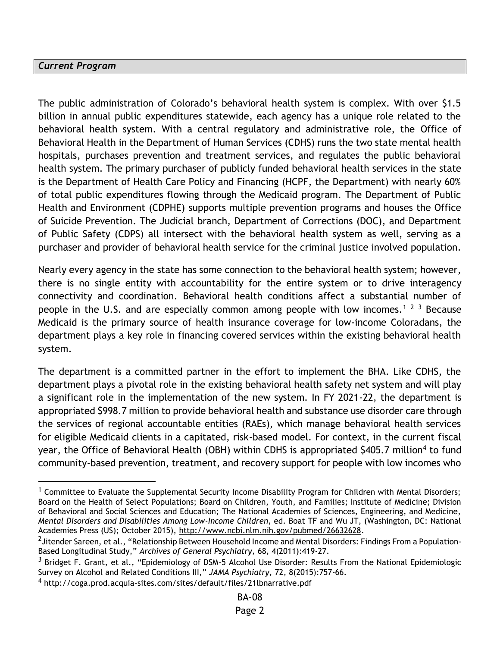#### *Current Program*

The public administration of Colorado's behavioral health system is complex. With over \$1.5 billion in annual public expenditures statewide, each agency has a unique role related to the behavioral health system. With a central regulatory and administrative role, the Office of Behavioral Health in the Department of Human Services (CDHS) runs the two state mental health hospitals, purchases prevention and treatment services, and regulates the public behavioral health system. The primary purchaser of publicly funded behavioral health services in the state is the Department of Health Care Policy and Financing (HCPF, the Department) with nearly 60% of total public expenditures flowing through the Medicaid program. The Department of Public Health and Environment (CDPHE) supports multiple prevention programs and houses the Office of Suicide Prevention. The Judicial branch, Department of Corrections (DOC), and Department of Public Safety (CDPS) all intersect with the behavioral health system as well, serving as a purchaser and provider of behavioral health service for the criminal justice involved population.

Nearly every agency in the state has some connection to the behavioral health system; however, there is no single entity with accountability for the entire system or to drive interagency connectivity and coordination. Behavioral health conditions affect a substantial number of people in the U.S. and are especially common among people with low incomes.<sup>1 2 3</sup> Because Medicaid is the primary source of health insurance coverage for low-income Coloradans, the department plays a key role in financing covered services within the existing behavioral health system.

The department is a committed partner in the effort to implement the BHA. Like CDHS, the department plays a pivotal role in the existing behavioral health safety net system and will play a significant role in the implementation of the new system. In FY 2021-22, the department is appropriated \$998.7 million to provide behavioral health and substance use disorder care through the services of regional accountable entities (RAEs), which manage behavioral health services for eligible Medicaid clients in a capitated, risk-based model. For context, in the current fiscal year, the Office of Behavioral Health (OBH) within CDHS is appropriated \$405.7 million<sup>4</sup> to fund community-based prevention, treatment, and recovery support for people with low incomes who

 $1$  Committee to Evaluate the Supplemental Security Income Disability Program for Children with Mental Disorders; Board on the Health of Select Populations; Board on Children, Youth, and Families; Institute of Medicine; Division of Behavioral and Social Sciences and Education; The National Academies of Sciences, Engineering, and Medicine, *Mental Disorders and Disabilities Among Low-Income Children*, ed. Boat TF and Wu JT, (Washington, DC: National Academies Press (US); October 2015), [http://www.ncbi.nlm.nih.gov/pubmed/26632628.](http://www.ncbi.nlm.nih.gov/pubmed/26632628)

<sup>&</sup>lt;sup>2</sup>Jitender Sareen, et al., "Relationship Between Household Income and Mental Disorders: Findings From a Population-Based Longitudinal Study," *Archives of General Psychiatry,* 68, 4(2011):419-27.

<sup>&</sup>lt;sup>3</sup> Bridget F. Grant, et al., "Epidemiology of DSM-5 Alcohol Use Disorder: Results From the National Epidemiologic Survey on Alcohol and Related Conditions III," *JAMA Psychiatry,* 72, 8(2015):757-66.

<sup>4</sup> http://coga.prod.acquia-sites.com/sites/default/files/21lbnarrative.pdf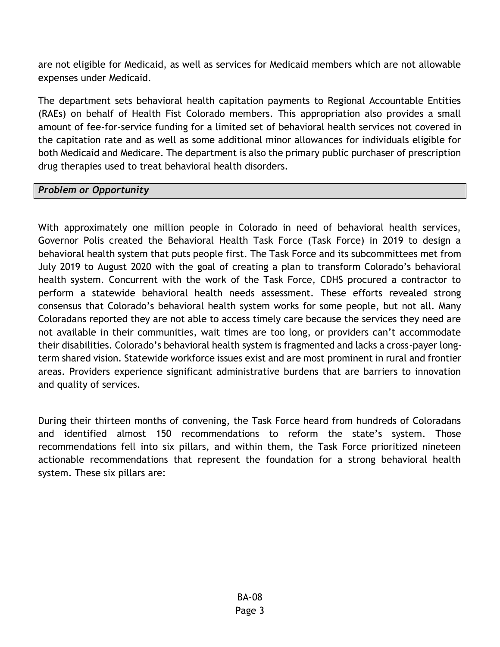are not eligible for Medicaid, as well as services for Medicaid members which are not allowable expenses under Medicaid.

The department sets behavioral health capitation payments to Regional Accountable Entities (RAEs) on behalf of Health Fist Colorado members. This appropriation also provides a small amount of fee-for-service funding for a limited set of behavioral health services not covered in the capitation rate and as well as some additional minor allowances for individuals eligible for both Medicaid and Medicare. The department is also the primary public purchaser of prescription drug therapies used to treat behavioral health disorders.

## *Problem or Opportunity*

With approximately one million people in Colorado in need of behavioral health services, Governor Polis created the Behavioral Health Task Force (Task Force) in 2019 to design a behavioral health system that puts people first. The Task Force and its subcommittees met from July 2019 to August 2020 with the goal of creating a plan to transform Colorado's behavioral health system. Concurrent with the work of the Task Force, CDHS procured a contractor to perform a statewide behavioral health needs assessment. These efforts revealed strong consensus that Colorado's behavioral health system works for some people, but not all. Many Coloradans reported they are not able to access timely care because the services they need are not available in their communities, wait times are too long, or providers can't accommodate their disabilities. Colorado's behavioral health system is fragmented and lacks a cross-payer longterm shared vision. Statewide workforce issues exist and are most prominent in rural and frontier areas. Providers experience significant administrative burdens that are barriers to innovation and quality of services.

During their thirteen months of convening, the Task Force heard from hundreds of Coloradans and identified almost 150 recommendations to reform the state's system. Those recommendations fell into six pillars, and within them, the Task Force prioritized nineteen actionable recommendations that represent the foundation for a strong behavioral health system. These six pillars are: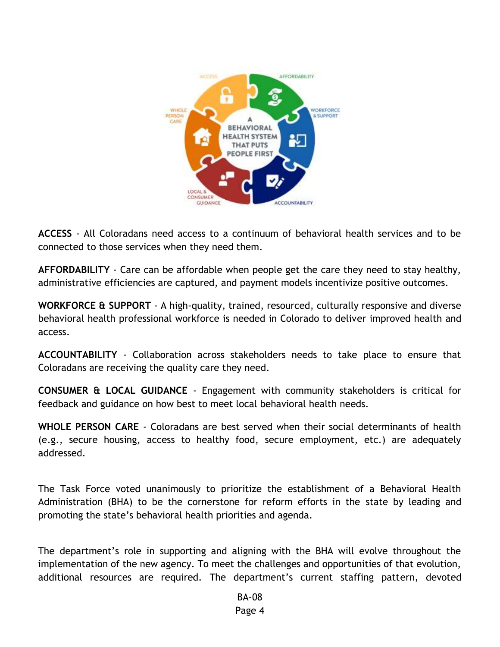

**ACCESS** - All Coloradans need access to a continuum of behavioral health services and to be connected to those services when they need them.

**AFFORDABILITY** - Care can be affordable when people get the care they need to stay healthy, administrative efficiencies are captured, and payment models incentivize positive outcomes.

**WORKFORCE & SUPPORT** - A high-quality, trained, resourced, culturally responsive and diverse behavioral health professional workforce is needed in Colorado to deliver improved health and access.

**ACCOUNTABILITY** - Collaboration across stakeholders needs to take place to ensure that Coloradans are receiving the quality care they need.

**CONSUMER & LOCAL GUIDANCE** - Engagement with community stakeholders is critical for feedback and guidance on how best to meet local behavioral health needs.

**WHOLE PERSON CARE** - Coloradans are best served when their social determinants of health (e.g., secure housing, access to healthy food, secure employment, etc.) are adequately addressed.

The Task Force voted unanimously to prioritize the establishment of a Behavioral Health Administration (BHA) to be the cornerstone for reform efforts in the state by leading and promoting the state's behavioral health priorities and agenda.

The department's role in supporting and aligning with the BHA will evolve throughout the implementation of the new agency. To meet the challenges and opportunities of that evolution, additional resources are required. The department's current staffing pattern, devoted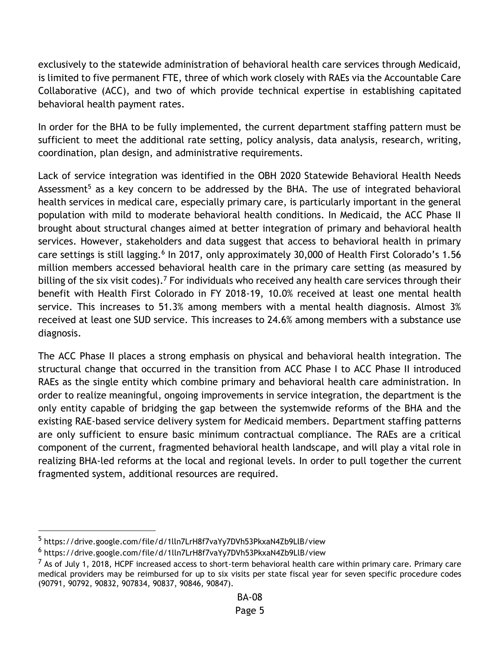exclusively to the statewide administration of behavioral health care services through Medicaid, is limited to five permanent FTE, three of which work closely with RAEs via the Accountable Care Collaborative (ACC), and two of which provide technical expertise in establishing capitated behavioral health payment rates.

In order for the BHA to be fully implemented, the current department staffing pattern must be sufficient to meet the additional rate setting, policy analysis, data analysis, research, writing, coordination, plan design, and administrative requirements.

Lack of service integration was identified in the OBH 2020 Statewide Behavioral Health Needs Assessment<sup>5</sup> as a key concern to be addressed by the BHA. The use of integrated behavioral health services in medical care, especially primary care, is particularly important in the general population with mild to moderate behavioral health conditions. In Medicaid, the ACC Phase II brought about structural changes aimed at better integration of primary and behavioral health services. However, stakeholders and data suggest that access to behavioral health in primary care settings is still lagging.<sup>6</sup> In 2017, only approximately 30,000 of Health First Colorado's 1.56 million members accessed behavioral health care in the primary care setting (as measured by billing of the six visit codes).<sup>7</sup> For individuals who received any health care services through their benefit with Health First Colorado in FY 2018-19, 10.0% received at least one mental health service. This increases to 51.3% among members with a mental health diagnosis. Almost 3% received at least one SUD service. This increases to 24.6% among members with a substance use diagnosis.

The ACC Phase II places a strong emphasis on physical and behavioral health integration. The structural change that occurred in the transition from ACC Phase I to ACC Phase II introduced RAEs as the single entity which combine primary and behavioral health care administration. In order to realize meaningful, ongoing improvements in service integration, the department is the only entity capable of bridging the gap between the systemwide reforms of the BHA and the existing RAE-based service delivery system for Medicaid members. Department staffing patterns are only sufficient to ensure basic minimum contractual compliance. The RAEs are a critical component of the current, fragmented behavioral health landscape, and will play a vital role in realizing BHA-led reforms at the local and regional levels. In order to pull together the current fragmented system, additional resources are required.

<sup>5</sup> https://drive.google.com/file/d/1lln7LrH8f7vaYy7DVh53PkxaN4Zb9LlB/view

<sup>6</sup> https://drive.google.com/file/d/1lln7LrH8f7vaYy7DVh53PkxaN4Zb9LlB/view

 $<sup>7</sup>$  As of July 1, 2018, HCPF increased access to short-term behavioral health care within primary care. Primary care</sup> medical providers may be reimbursed for up to six visits per state fiscal year for seven specific procedure codes (90791, 90792, 90832, 907834, 90837, 90846, 90847).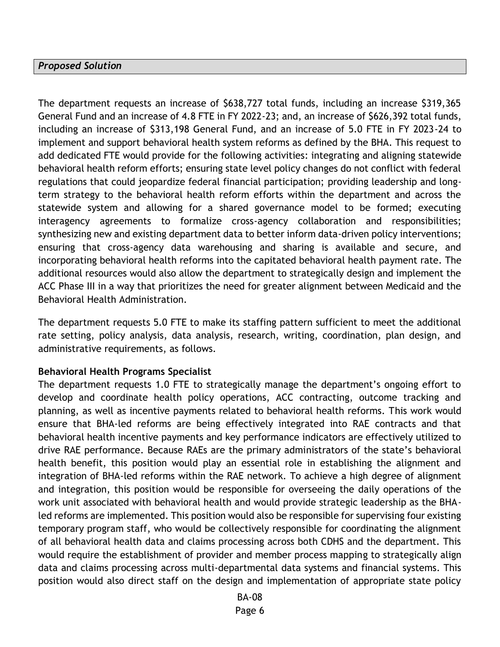#### *Proposed Solution*

The department requests an increase of \$638,727 total funds, including an increase \$319,365 General Fund and an increase of 4.8 FTE in FY 2022-23; and, an increase of \$626,392 total funds, including an increase of \$313,198 General Fund, and an increase of 5.0 FTE in FY 2023-24 to implement and support behavioral health system reforms as defined by the BHA. This request to add dedicated FTE would provide for the following activities: integrating and aligning statewide behavioral health reform efforts; ensuring state level policy changes do not conflict with federal regulations that could jeopardize federal financial participation; providing leadership and longterm strategy to the behavioral health reform efforts within the department and across the statewide system and allowing for a shared governance model to be formed; executing interagency agreements to formalize cross-agency collaboration and responsibilities; synthesizing new and existing department data to better inform data-driven policy interventions; ensuring that cross-agency data warehousing and sharing is available and secure, and incorporating behavioral health reforms into the capitated behavioral health payment rate. The additional resources would also allow the department to strategically design and implement the ACC Phase III in a way that prioritizes the need for greater alignment between Medicaid and the Behavioral Health Administration.

The department requests 5.0 FTE to make its staffing pattern sufficient to meet the additional rate setting, policy analysis, data analysis, research, writing, coordination, plan design, and administrative requirements, as follows.

#### **Behavioral Health Programs Specialist**

The department requests 1.0 FTE to strategically manage the department's ongoing effort to develop and coordinate health policy operations, ACC contracting, outcome tracking and planning, as well as incentive payments related to behavioral health reforms. This work would ensure that BHA-led reforms are being effectively integrated into RAE contracts and that behavioral health incentive payments and key performance indicators are effectively utilized to drive RAE performance. Because RAEs are the primary administrators of the state's behavioral health benefit, this position would play an essential role in establishing the alignment and integration of BHA-led reforms within the RAE network. To achieve a high degree of alignment and integration, this position would be responsible for overseeing the daily operations of the work unit associated with behavioral health and would provide strategic leadership as the BHAled reforms are implemented. This position would also be responsible for supervising four existing temporary program staff, who would be collectively responsible for coordinating the alignment of all behavioral health data and claims processing across both CDHS and the department. This would require the establishment of provider and member process mapping to strategically align data and claims processing across multi-departmental data systems and financial systems. This position would also direct staff on the design and implementation of appropriate state policy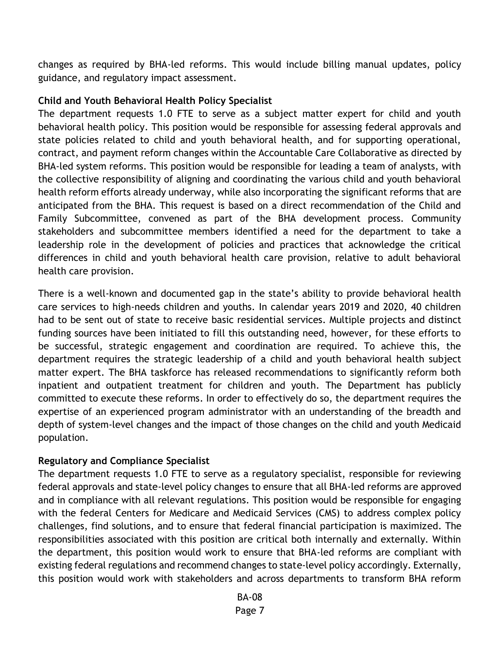changes as required by BHA-led reforms. This would include billing manual updates, policy guidance, and regulatory impact assessment.

### **Child and Youth Behavioral Health Policy Specialist**

The department requests 1.0 FTE to serve as a subject matter expert for child and youth behavioral health policy. This position would be responsible for assessing federal approvals and state policies related to child and youth behavioral health, and for supporting operational, contract, and payment reform changes within the Accountable Care Collaborative as directed by BHA-led system reforms. This position would be responsible for leading a team of analysts, with the collective responsibility of aligning and coordinating the various child and youth behavioral health reform efforts already underway, while also incorporating the significant reforms that are anticipated from the BHA. This request is based on a direct recommendation of the Child and Family Subcommittee, convened as part of the BHA development process. Community stakeholders and subcommittee members identified a need for the department to take a leadership role in the development of policies and practices that acknowledge the critical differences in child and youth behavioral health care provision, relative to adult behavioral health care provision.

There is a well-known and documented gap in the state's ability to provide behavioral health care services to high-needs children and youths. In calendar years 2019 and 2020, 40 children had to be sent out of state to receive basic residential services. Multiple projects and distinct funding sources have been initiated to fill this outstanding need, however, for these efforts to be successful, strategic engagement and coordination are required. To achieve this, the department requires the strategic leadership of a child and youth behavioral health subject matter expert. The BHA taskforce has released recommendations to significantly reform both inpatient and outpatient treatment for children and youth. The Department has publicly committed to execute these reforms. In order to effectively do so, the department requires the expertise of an experienced program administrator with an understanding of the breadth and depth of system-level changes and the impact of those changes on the child and youth Medicaid population.

### **Regulatory and Compliance Specialist**

The department requests 1.0 FTE to serve as a regulatory specialist, responsible for reviewing federal approvals and state-level policy changes to ensure that all BHA-led reforms are approved and in compliance with all relevant regulations. This position would be responsible for engaging with the federal Centers for Medicare and Medicaid Services (CMS) to address complex policy challenges, find solutions, and to ensure that federal financial participation is maximized. The responsibilities associated with this position are critical both internally and externally. Within the department, this position would work to ensure that BHA-led reforms are compliant with existing federal regulations and recommend changes to state-level policy accordingly. Externally, this position would work with stakeholders and across departments to transform BHA reform

> BA-08 Page 7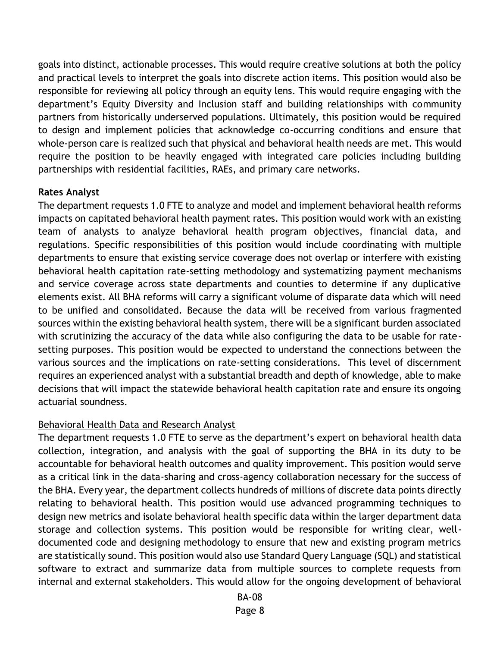goals into distinct, actionable processes. This would require creative solutions at both the policy and practical levels to interpret the goals into discrete action items. This position would also be responsible for reviewing all policy through an equity lens. This would require engaging with the department's Equity Diversity and Inclusion staff and building relationships with community partners from historically underserved populations. Ultimately, this position would be required to design and implement policies that acknowledge co-occurring conditions and ensure that whole-person care is realized such that physical and behavioral health needs are met. This would require the position to be heavily engaged with integrated care policies including building partnerships with residential facilities, RAEs, and primary care networks.

### **Rates Analyst**

The department requests 1.0 FTE to analyze and model and implement behavioral health reforms impacts on capitated behavioral health payment rates. This position would work with an existing team of analysts to analyze behavioral health program objectives, financial data, and regulations. Specific responsibilities of this position would include coordinating with multiple departments to ensure that existing service coverage does not overlap or interfere with existing behavioral health capitation rate-setting methodology and systematizing payment mechanisms and service coverage across state departments and counties to determine if any duplicative elements exist. All BHA reforms will carry a significant volume of disparate data which will need to be unified and consolidated. Because the data will be received from various fragmented sources within the existing behavioral health system, there will be a significant burden associated with scrutinizing the accuracy of the data while also configuring the data to be usable for ratesetting purposes. This position would be expected to understand the connections between the various sources and the implications on rate-setting considerations. This level of discernment requires an experienced analyst with a substantial breadth and depth of knowledge, able to make decisions that will impact the statewide behavioral health capitation rate and ensure its ongoing actuarial soundness.

### Behavioral Health Data and Research Analyst

The department requests 1.0 FTE to serve as the department's expert on behavioral health data collection, integration, and analysis with the goal of supporting the BHA in its duty to be accountable for behavioral health outcomes and quality improvement. This position would serve as a critical link in the data-sharing and cross-agency collaboration necessary for the success of the BHA. Every year, the department collects hundreds of millions of discrete data points directly relating to behavioral health. This position would use advanced programming techniques to design new metrics and isolate behavioral health specific data within the larger department data storage and collection systems. This position would be responsible for writing clear, welldocumented code and designing methodology to ensure that new and existing program metrics are statistically sound. This position would also use Standard Query Language (SQL) and statistical software to extract and summarize data from multiple sources to complete requests from internal and external stakeholders. This would allow for the ongoing development of behavioral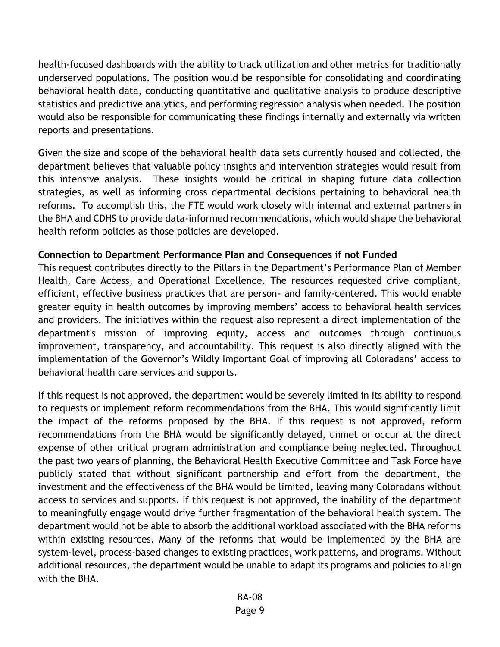health-focused dashboards with the ability to track utilization and other metrics for traditionally underserved populations. The position would be responsible for consolidating and coordinating behavioral health data, conducting quantitative and qualitative analysis to produce descriptive statistics and predictive analytics, and performing regression analysis when needed. The position would also be responsible for communicating these findings internally and externally via written reports and presentations.

Given the size and scope of the behavioral health data sets currently housed and collected, the department believes that valuable policy insights and intervention strategies would result from this intensive analysis. These insights would be critical in shaping future data collection strategies, as well as informing cross departmental decisions pertaining to behavioral health reforms. To accomplish this, the FTE would work closely with internal and external partners in the BHA and CDHS to provide data-informed recommendations, which would shape the behavioral health reform policies as those policies are developed.

## **Connection to Department Performance Plan and Consequences if not Funded**

This request contributes directly to the Pillars in the Department's Performance Plan of Member Health, Care Access, and Operational Excellence. The resources requested drive compliant, efficient, effective business practices that are person- and family-centered. This would enable greater equity in health outcomes by improving members' access to behavioral health services and providers. The initiatives within the request also represent a direct implementation of the department's mission of improving equity, access and outcomes through continuous improvement, transparency, and accountability. This request is also directly aligned with the implementation of the Governor's Wildly Important Goal of improving all Coloradans' access to behavioral health care services and supports.

If this request is not approved, the department would be severely limited in its ability to respond to requests or implement reform recommendations from the BHA. This would significantly limit the impact of the reforms proposed by the BHA. If this request is not approved, reform recommendations from the BHA would be significantly delayed, unmet or occur at the direct expense of other critical program administration and compliance being neglected. Throughout the past two years of planning, the Behavioral Health Executive Committee and Task Force have publicly stated that without significant partnership and effort from the department, the investment and the effectiveness of the BHA would be limited, leaving many Coloradans without access to services and supports. If this request is not approved, the inability of the department to meaningfully engage would drive further fragmentation of the behavioral health system. The department would not be able to absorb the additional workload associated with the BHA reforms within existing resources. Many of the reforms that would be implemented by the BHA are system-level, process-based changes to existing practices, work patterns, and programs. Without additional resources, the department would be unable to adapt its programs and policies to align with the BHA.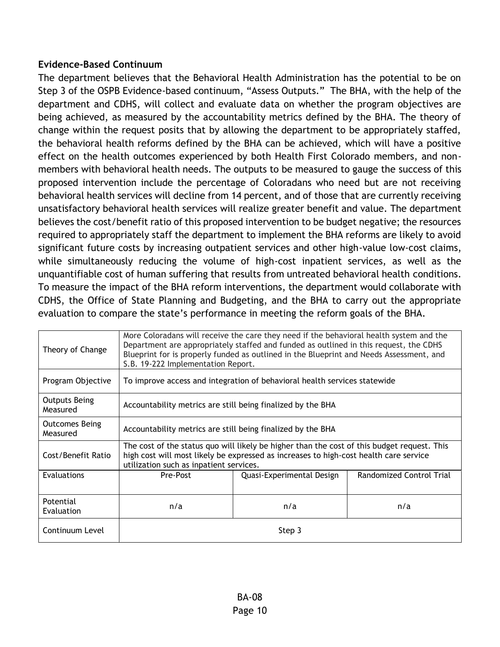### **Evidence-Based Continuum**

The department believes that the Behavioral Health Administration has the potential to be on Step 3 of the OSPB Evidence-based continuum, "Assess Outputs." The BHA, with the help of the department and CDHS, will collect and evaluate data on whether the program objectives are being achieved, as measured by the accountability metrics defined by the BHA. The theory of change within the request posits that by allowing the department to be appropriately staffed, the behavioral health reforms defined by the BHA can be achieved, which will have a positive effect on the health outcomes experienced by both Health First Colorado members, and nonmembers with behavioral health needs. The outputs to be measured to gauge the success of this proposed intervention include the percentage of Coloradans who need but are not receiving behavioral health services will decline from 14 percent, and of those that are currently receiving unsatisfactory behavioral health services will realize greater benefit and value. The department believes the cost/benefit ratio of this proposed intervention to be budget negative; the resources required to appropriately staff the department to implement the BHA reforms are likely to avoid significant future costs by increasing outpatient services and other high-value low-cost claims, while simultaneously reducing the volume of high-cost inpatient services, as well as the unquantifiable cost of human suffering that results from untreated behavioral health conditions. To measure the impact of the BHA reform interventions, the department would collaborate with CDHS, the Office of State Planning and Budgeting, and the BHA to carry out the appropriate evaluation to compare the state's performance in meeting the reform goals of the BHA.

| Theory of Change                  | More Coloradans will receive the care they need if the behavioral health system and the<br>Department are appropriately staffed and funded as outlined in this request, the CDHS<br>Blueprint for is properly funded as outlined in the Blueprint and Needs Assessment, and<br>S.B. 19-222 Implementation Report. |                                                                                                                                                                                      |                          |  |  |  |  |  |  |  |
|-----------------------------------|-------------------------------------------------------------------------------------------------------------------------------------------------------------------------------------------------------------------------------------------------------------------------------------------------------------------|--------------------------------------------------------------------------------------------------------------------------------------------------------------------------------------|--------------------------|--|--|--|--|--|--|--|
| Program Objective                 |                                                                                                                                                                                                                                                                                                                   | To improve access and integration of behavioral health services statewide                                                                                                            |                          |  |  |  |  |  |  |  |
| <b>Outputs Being</b><br>Measured  | Accountability metrics are still being finalized by the BHA                                                                                                                                                                                                                                                       |                                                                                                                                                                                      |                          |  |  |  |  |  |  |  |
| <b>Outcomes Being</b><br>Measured | Accountability metrics are still being finalized by the BHA                                                                                                                                                                                                                                                       |                                                                                                                                                                                      |                          |  |  |  |  |  |  |  |
| Cost/Benefit Ratio                | utilization such as inpatient services.                                                                                                                                                                                                                                                                           | The cost of the status quo will likely be higher than the cost of this budget request. This<br>high cost will most likely be expressed as increases to high-cost health care service |                          |  |  |  |  |  |  |  |
| Evaluations                       | Pre-Post                                                                                                                                                                                                                                                                                                          | Quasi-Experimental Design                                                                                                                                                            | Randomized Control Trial |  |  |  |  |  |  |  |
| Potential<br>Evaluation           | n/a<br>n/a<br>n/a                                                                                                                                                                                                                                                                                                 |                                                                                                                                                                                      |                          |  |  |  |  |  |  |  |
| Continuum Level                   | Step 3                                                                                                                                                                                                                                                                                                            |                                                                                                                                                                                      |                          |  |  |  |  |  |  |  |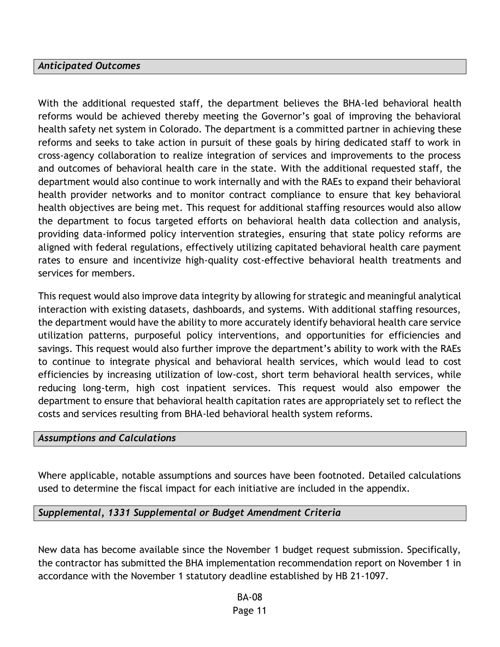#### *Anticipated Outcomes*

With the additional requested staff, the department believes the BHA-led behavioral health reforms would be achieved thereby meeting the Governor's goal of improving the behavioral health safety net system in Colorado. The department is a committed partner in achieving these reforms and seeks to take action in pursuit of these goals by hiring dedicated staff to work in cross-agency collaboration to realize integration of services and improvements to the process and outcomes of behavioral health care in the state. With the additional requested staff, the department would also continue to work internally and with the RAEs to expand their behavioral health provider networks and to monitor contract compliance to ensure that key behavioral health objectives are being met. This request for additional staffing resources would also allow the department to focus targeted efforts on behavioral health data collection and analysis, providing data-informed policy intervention strategies, ensuring that state policy reforms are aligned with federal regulations, effectively utilizing capitated behavioral health care payment rates to ensure and incentivize high-quality cost-effective behavioral health treatments and services for members.

This request would also improve data integrity by allowing for strategic and meaningful analytical interaction with existing datasets, dashboards, and systems. With additional staffing resources, the department would have the ability to more accurately identify behavioral health care service utilization patterns, purposeful policy interventions, and opportunities for efficiencies and savings. This request would also further improve the department's ability to work with the RAEs to continue to integrate physical and behavioral health services, which would lead to cost efficiencies by increasing utilization of low-cost, short term behavioral health services, while reducing long-term, high cost inpatient services. This request would also empower the department to ensure that behavioral health capitation rates are appropriately set to reflect the costs and services resulting from BHA-led behavioral health system reforms.

#### *Assumptions and Calculations*

Where applicable, notable assumptions and sources have been footnoted. Detailed calculations used to determine the fiscal impact for each initiative are included in the appendix.

#### *Supplemental, 1331 Supplemental or Budget Amendment Criteria*

New data has become available since the November 1 budget request submission. Specifically, the contractor has submitted the BHA implementation recommendation report on November 1 in accordance with the November 1 statutory deadline established by HB 21-1097.

> BA-08 Page 11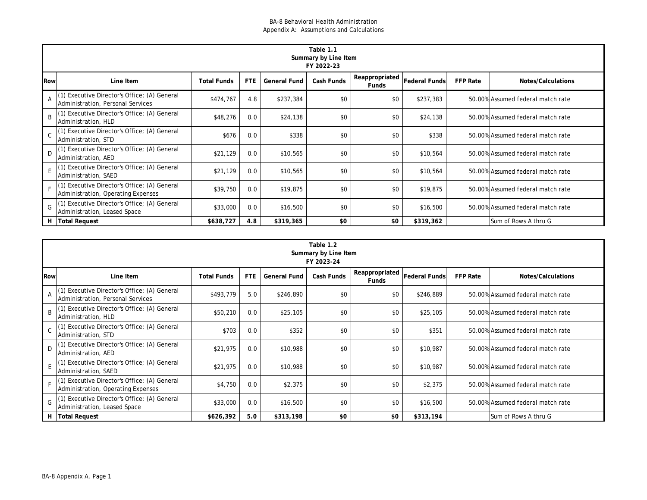|              | Table 1.1<br>Summary by Line Item                                                 |                    |            |                     |            |                         |                      |                 |                                   |  |  |  |  |
|--------------|-----------------------------------------------------------------------------------|--------------------|------------|---------------------|------------|-------------------------|----------------------|-----------------|-----------------------------------|--|--|--|--|
|              | FY 2022-23                                                                        |                    |            |                     |            |                         |                      |                 |                                   |  |  |  |  |
| <b>Row</b>   | Line Item                                                                         | <b>Total Funds</b> | <b>FTE</b> | <b>General Fund</b> | Cash Funds | Reappropriated<br>Funds | <b>Federal Funds</b> | <b>FFP Rate</b> | Notes/Calculations                |  |  |  |  |
|              | (1) Executive Director's Office; (A) General<br>Administration, Personal Services | \$474,767          | 4.8        | \$237,384           | \$0        | \$0                     | \$237,383            |                 | 50.00% Assumed federal match rate |  |  |  |  |
| <sub>R</sub> | Executive Director's Office; (A) General<br>Administration, HLD                   | \$48,276           | 0.0        | \$24,138            | \$0        | \$0                     | \$24,138             |                 | 50.00% Assumed federal match rate |  |  |  |  |
| C            | Executive Director's Office; (A) General<br>Administration, STD                   | \$676              | 0.0        | \$338               | \$0        | \$0                     | \$338                |                 | 50.00% Assumed federal match rate |  |  |  |  |
| D.           | Executive Director's Office; (A) General<br>Administration, AED                   | \$21,129           | 0.0        | \$10,565            | \$0        | \$0                     | \$10,564             |                 | 50.00% Assumed federal match rate |  |  |  |  |
|              | Executive Director's Office; (A) General<br>Administration, SAED                  | \$21,129           | 0.0        | \$10,565            | \$0        | \$0                     | \$10,564             |                 | 50.00% Assumed federal match rate |  |  |  |  |
|              | Executive Director's Office; (A) General<br>Administration, Operating Expenses    | \$39,750           | 0.0        | \$19,875            | \$0        | \$0                     | \$19,875             |                 | 50.00% Assumed federal match rate |  |  |  |  |
| G            | Executive Director's Office; (A) General<br>Administration, Leased Space          | \$33,000           | 0.0        | \$16,500            | \$0        | \$0                     | \$16,500             |                 | 50.00% Assumed federal match rate |  |  |  |  |
|              | H   Total Request                                                                 | \$638,727          | 4.8        | \$319,365           | \$0        | \$0                     | \$319,362            |                 | lSum of Rows A thru G             |  |  |  |  |

|            | Table 1.2<br>Summary by Line Item<br>FY 2023-24                                     |                    |            |                     |            |                                |                      |                 |                                   |  |  |  |
|------------|-------------------------------------------------------------------------------------|--------------------|------------|---------------------|------------|--------------------------------|----------------------|-----------------|-----------------------------------|--|--|--|
| <b>Row</b> | Line Item                                                                           | <b>Total Funds</b> | <b>FTE</b> | <b>General Fund</b> | Cash Funds | Reappropriated<br><b>Funds</b> | <b>Federal Funds</b> | <b>FFP Rate</b> | Notes/Calculations                |  |  |  |
| A          | (1) Executive Director's Office; (A) General<br>Administration, Personal Services   | \$493,779          | 5.0        | \$246,890           | \$0        | \$0                            | \$246,889            |                 | 50.00% Assumed federal match rate |  |  |  |
| B          | (1) Executive Director's Office; (A) General<br>Administration, HLD                 | \$50,210           | 0.0        | \$25,105            | \$0        | \$0                            | \$25,105             |                 | 50.00% Assumed federal match rate |  |  |  |
|            | C (1) Executive Director's Office; (A) General<br>Administration, STD               | \$703              | 0.0        | \$352               | \$0        | \$0                            | \$351                |                 | 50.00% Assumed federal match rate |  |  |  |
| D.         | (1) Executive Director's Office; (A) General<br>Administration, AED                 | \$21,975           | 0.0        | \$10,988            | \$0        | \$0                            | \$10,987             |                 | 50.00% Assumed federal match rate |  |  |  |
|            | (1) Executive Director's Office; (A) General<br>Administration, SAED                | \$21,975           | 0.0        | \$10,988            | \$0        | \$0                            | \$10,987             |                 | 50.00% Assumed federal match rate |  |  |  |
|            | [(1) Executive Director's Office; (A) General<br>Administration, Operating Expenses | \$4,750            | 0.0        | \$2,375             | \$0        | \$0                            | \$2,375              |                 | 50.00% Assumed federal match rate |  |  |  |
| G          | (1) Executive Director's Office; (A) General<br>Administration, Leased Space        | \$33,000           | 0.0        | \$16,500            | \$0        | \$0                            | \$16,500             |                 | 50.00% Assumed federal match rate |  |  |  |
|            | H Total Request                                                                     | \$626,392          | 5.0        | \$313,198           | \$0        | \$0                            | \$313,194            |                 | Sum of Rows A thru G              |  |  |  |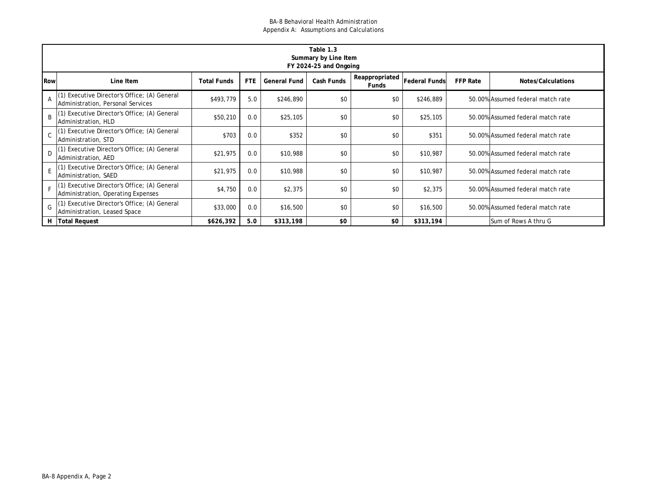|            | Table 1.3<br>Summary by Line Item<br>FY 2024-25 and Ongoing                    |                    |            |                     |            |                                |                      |                 |                                   |  |  |  |  |
|------------|--------------------------------------------------------------------------------|--------------------|------------|---------------------|------------|--------------------------------|----------------------|-----------------|-----------------------------------|--|--|--|--|
| <b>Row</b> | Line Item                                                                      | <b>Total Funds</b> | <b>FTE</b> | <b>General Fund</b> | Cash Funds | Reappropriated<br><b>Funds</b> | <b>Federal Funds</b> | <b>FFP Rate</b> | Notes/Calculations                |  |  |  |  |
|            | Executive Director's Office; (A) General<br>Administration, Personal Services  | \$493,779          | 5.0        | \$246,890           | \$0        | \$0                            | \$246,889            |                 | 50.00% Assumed federal match rate |  |  |  |  |
| R          | Executive Director's Office; (A) General<br>Administration, HLD                | \$50,210           | 0.0        | \$25,105            | \$0        | \$0                            | \$25,105             |                 | 50.00% Assumed federal match rate |  |  |  |  |
|            | Executive Director's Office; (A) General<br>Administration, STD                | \$703              | 0.0        | \$352               | \$0        | \$0                            | \$351                |                 | 50.00% Assumed federal match rate |  |  |  |  |
|            | Executive Director's Office; (A) General<br>Administration, AED                | \$21,975           | 0.0        | \$10,988            | \$0        | \$0                            | \$10,987             |                 | 50.00% Assumed federal match rate |  |  |  |  |
|            | Executive Director's Office; (A) General<br>Administration, SAED               | \$21,975           | 0.0        | \$10,988            | \$0        | \$0                            | \$10,987             |                 | 50.00% Assumed federal match rate |  |  |  |  |
|            | Executive Director's Office; (A) General<br>Administration, Operating Expenses | \$4,750            | 0.0        | \$2,375             | \$0        | \$0                            | \$2,375              |                 | 50.00% Assumed federal match rate |  |  |  |  |
| G          | Executive Director's Office; (A) General<br>Administration, Leased Space       | \$33,000           | 0.0        | \$16,500            | \$0        | \$0                            | \$16,500             |                 | 50.00% Assumed federal match rate |  |  |  |  |
|            | H Total Request                                                                | \$626,392          | 5.0        | \$313,198           | \$0        | \$0                            | \$313,194            |                 | Sum of Rows A thru G              |  |  |  |  |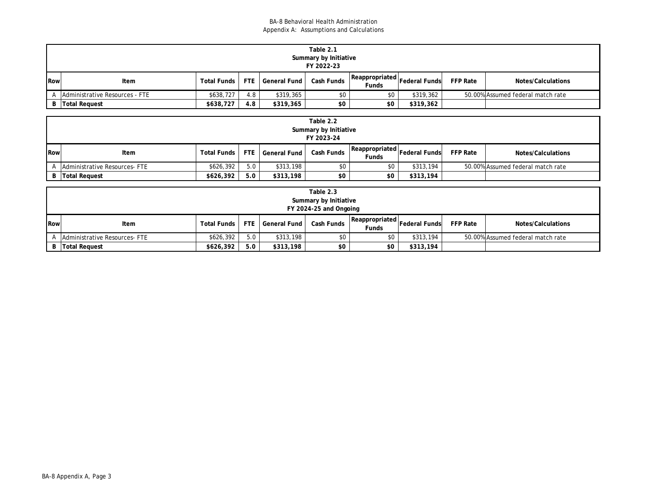|     | Table 2.1                        |                      |     |                  |            |                                                         |           |                 |                                   |  |
|-----|----------------------------------|----------------------|-----|------------------|------------|---------------------------------------------------------|-----------|-----------------|-----------------------------------|--|
|     | Summary by Initiative            |                      |     |                  |            |                                                         |           |                 |                                   |  |
|     | FY 2022-23                       |                      |     |                  |            |                                                         |           |                 |                                   |  |
| Row | Item                             | <b>Total Funds</b> I |     | FTE General Fund | Cash Funds | $\sqrt{R}$ Reappropriated Federal Funds<br><b>Funds</b> |           | <b>FFP Rate</b> | Notes/Calculations                |  |
|     | A Administrative Resources - FTE | \$638,727            | 4.8 | \$319,365        | \$0        | \$0                                                     | \$319,362 |                 | 50.00% Assumed federal match rate |  |
|     | <b>B</b> Total Request           | \$638,727            | 4.8 | \$319,365        | \$0        | \$0                                                     | \$319,362 |                 |                                   |  |

|     | Table 2.2<br>Summary by Initiative<br>FY 2023-24 |                    |            |                     |            |                         |                      |                 |                                   |  |
|-----|--------------------------------------------------|--------------------|------------|---------------------|------------|-------------------------|----------------------|-----------------|-----------------------------------|--|
| Row | Item                                             | <b>Total Funds</b> | <b>FTE</b> | <b>General Fund</b> | Cash Funds | Reappropriated<br>Funds | <b>Federal Funds</b> | <b>FFP Rate</b> | Notes/Calculations                |  |
|     | Administrative Resources-FTE                     | \$626,392          | 5.0        | \$313,198           | \$0        | \$0                     | \$313,194            |                 | 50.00% Assumed federal match rate |  |
| B I | <b>Total Request</b>                             | \$626,392          | 5.0        | \$313,198           | \$0        | \$0                     | \$313,194            |                 |                                   |  |

|     | Table 2.3<br>Summary by Initiative<br>FY 2024-25 and Ongoing |                    |     |                  |            |                                              |           |                 |                                   |  |  |  |  |
|-----|--------------------------------------------------------------|--------------------|-----|------------------|------------|----------------------------------------------|-----------|-----------------|-----------------------------------|--|--|--|--|
| Row | Item                                                         | <b>Total Funds</b> |     | FTE General Fund | Cash Funds | Reappropriated Federal Funds<br><b>Funds</b> |           | <b>FFP Rate</b> | Notes/Calculations                |  |  |  |  |
|     | <b>Administrative Resources-FTE</b>                          | \$626,392          | 5.0 | \$313,198        | \$0        | \$0                                          | \$313,194 |                 | 50.00% Assumed federal match rate |  |  |  |  |
|     | <b>B</b> Total Request                                       | \$626,392          | 5.0 | \$313,198        | \$0        | \$0                                          | \$313,194 |                 |                                   |  |  |  |  |